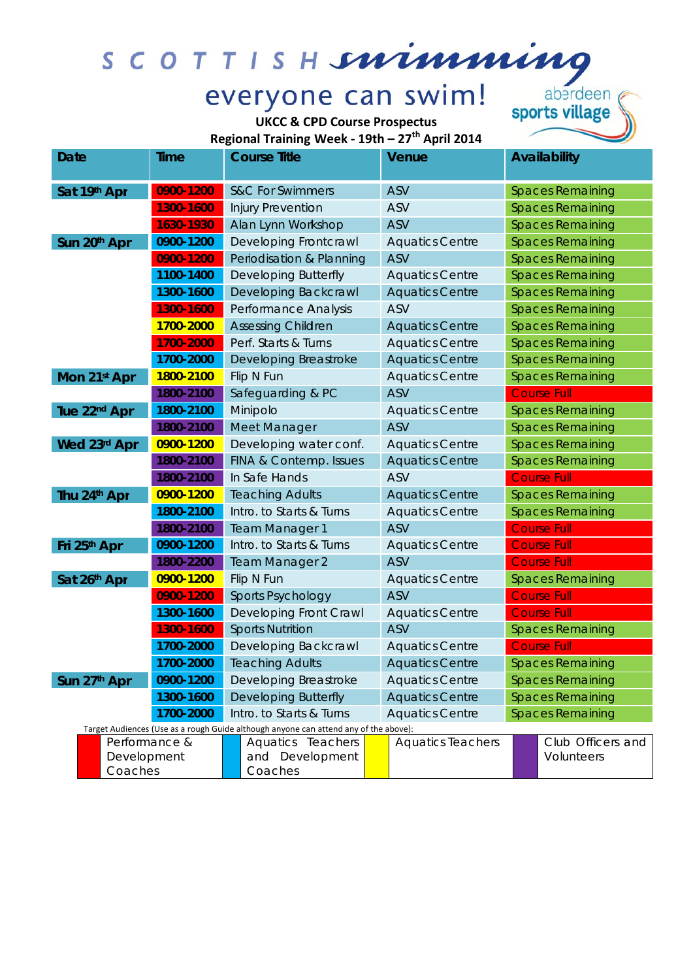

## everyone can swim!

**UKCC & CPD Course Prospectus** 

aberdeen<br>sports village

Regional Training Week - 19th - 27<sup>th</sup> April 2014

| Date                                                                                                  | ume       | Course little               |                             |  | venue                    | Availability            |                         |
|-------------------------------------------------------------------------------------------------------|-----------|-----------------------------|-----------------------------|--|--------------------------|-------------------------|-------------------------|
| Sat 19th Apr                                                                                          | 0900-1200 |                             | <b>S&amp;C For Swimmers</b> |  | <b>ASV</b>               | <b>Spaces Remaining</b> |                         |
|                                                                                                       | 1300-1600 |                             | Injury Prevention           |  | <b>ASV</b>               |                         | <b>Spaces Remaining</b> |
|                                                                                                       | 1630-1930 |                             | Alan Lynn Workshop          |  | <b>ASV</b>               |                         | <b>Spaces Remaining</b> |
| Sun 20th Apr                                                                                          | 0900-1200 |                             | Developing Frontcrawl       |  | <b>Aquatics Centre</b>   |                         | <b>Spaces Remaining</b> |
|                                                                                                       | 0900-1200 |                             | Periodisation & Planning    |  | <b>ASV</b>               |                         | <b>Spaces Remaining</b> |
|                                                                                                       | 1100-1400 |                             | <b>Developing Butterfly</b> |  | <b>Aquatics Centre</b>   |                         | <b>Spaces Remaining</b> |
|                                                                                                       | 1300-1600 |                             | Developing Backcrawl        |  | <b>Aquatics Centre</b>   |                         | <b>Spaces Remaining</b> |
|                                                                                                       | 1300-1600 |                             | Performance Analysis        |  | ASV                      |                         | <b>Spaces Remaining</b> |
|                                                                                                       | 1700-2000 |                             | <b>Assessing Children</b>   |  | <b>Aquatics Centre</b>   |                         | <b>Spaces Remaining</b> |
|                                                                                                       | 1700-2000 |                             | Perf. Starts & Turns        |  | <b>Aquatics Centre</b>   |                         | <b>Spaces Remaining</b> |
|                                                                                                       | 1700-2000 |                             | Developing Breastroke       |  | <b>Aquatics Centre</b>   |                         | <b>Spaces Remaining</b> |
| Mon 21st Apr                                                                                          | 1800-2100 |                             | Flip N Fun                  |  | <b>Aquatics Centre</b>   |                         | <b>Spaces Remaining</b> |
|                                                                                                       | 1800-2100 |                             | Safeguarding & PC           |  | <b>ASV</b>               |                         | <b>Course Full</b>      |
| Tue 22 <sup>nd</sup> Apr                                                                              | 1800-2100 |                             | Minipolo                    |  | <b>Aquatics Centre</b>   |                         | <b>Spaces Remaining</b> |
|                                                                                                       | 1800-2100 |                             | Meet Manager                |  | <b>ASV</b>               |                         | <b>Spaces Remaining</b> |
| Wed 23rd Apr                                                                                          | 0900-1200 |                             | Developing water conf.      |  | <b>Aquatics Centre</b>   |                         | <b>Spaces Remaining</b> |
|                                                                                                       | 1800-2100 |                             | FINA & Contemp. Issues      |  | <b>Aquatics Centre</b>   |                         | <b>Spaces Remaining</b> |
|                                                                                                       | 1800-2100 |                             | In Safe Hands               |  | <b>ASV</b>               |                         | <b>Course Full</b>      |
| Thu 24th Apr                                                                                          | 0900-1200 |                             | <b>Teaching Adults</b>      |  | <b>Aquatics Centre</b>   |                         | <b>Spaces Remaining</b> |
|                                                                                                       | 1800-2100 |                             | Intro. to Starts & Turns    |  | <b>Aquatics Centre</b>   |                         | <b>Spaces Remaining</b> |
|                                                                                                       | 1800-2100 |                             | <b>Team Manager 1</b>       |  | <b>ASV</b>               |                         | <b>Course Full</b>      |
| Fri 25th Apr                                                                                          | 0900-1200 |                             | Intro. to Starts & Turns    |  | <b>Aquatics Centre</b>   |                         | <b>Course Full</b>      |
|                                                                                                       | 1800-2200 |                             | <b>Team Manager 2</b>       |  | <b>ASV</b>               |                         | <b>Course Full</b>      |
| Sat 26th Apr                                                                                          | 0900-1200 |                             | Flip N Fun                  |  | <b>Aquatics Centre</b>   | <b>Spaces Remaining</b> |                         |
|                                                                                                       | 0900-1200 |                             | <b>Sports Psychology</b>    |  | <b>ASV</b>               |                         | <b>Course Full</b>      |
|                                                                                                       | 1300-1600 |                             | Developing Front Crawl      |  | <b>Aquatics Centre</b>   | <b>Course Full</b>      |                         |
|                                                                                                       | 1300-1600 | <b>Sports Nutrition</b>     |                             |  | ASV                      |                         | <b>Spaces Remaining</b> |
|                                                                                                       | 1700-2000 | Developing Backcrawl        |                             |  | <b>Aquatics Centre</b>   | <b>Course Full</b>      |                         |
|                                                                                                       | 1700-2000 |                             | <b>Teaching Adults</b>      |  | <b>Aquatics Centre</b>   |                         | <b>Spaces Remaining</b> |
| Sun 27th Apr                                                                                          | 0900-1200 | Developing Breastroke       |                             |  | <b>Aquatics Centre</b>   | <b>Spaces Remaining</b> |                         |
| 1300-1600<br>1700-2000                                                                                |           | <b>Developing Butterfly</b> |                             |  | <b>Aquatics Centre</b>   | <b>Spaces Remaining</b> |                         |
|                                                                                                       |           | Intro. to Starts & Turns    |                             |  | <b>Aquatics Centre</b>   | <b>Spaces Remaining</b> |                         |
| Target Audiences (Use as a rough Guide although anyone can attend any of the above):<br>Performance & |           |                             | Aquatics Teachers           |  | <b>Aquatics Teachers</b> |                         | Club Officers and       |
| Development                                                                                           |           |                             | and Development             |  |                          |                         | Volunteers              |
| Coaches                                                                                               |           |                             | Coaches                     |  |                          |                         |                         |